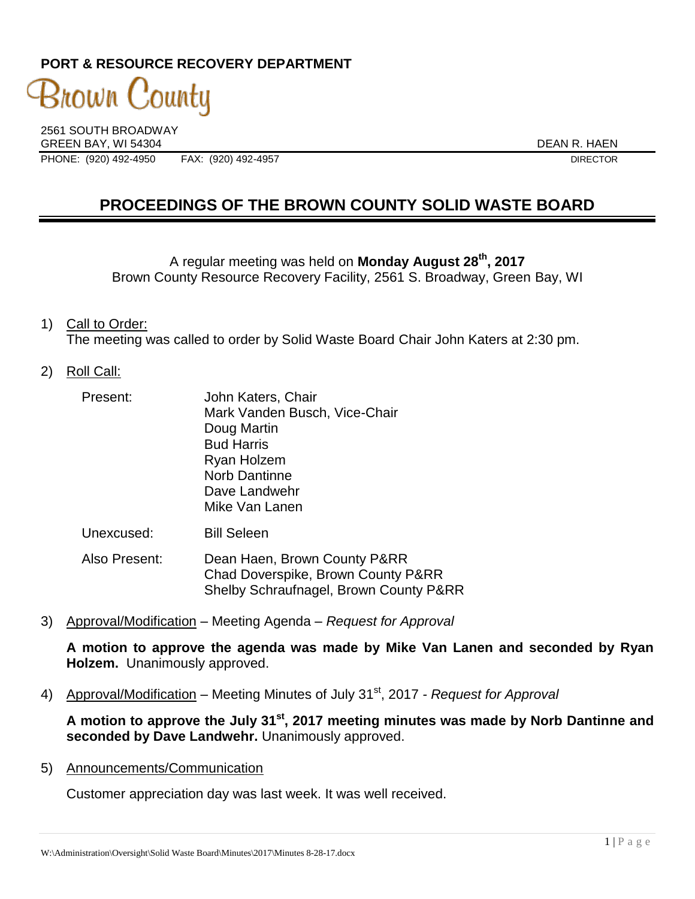# **PORT & RESOURCE RECOVERY DEPARTMENT**

3nown County

2561 SOUTH BROADWAY GREEN BAY, WI 54304<br>PHONE: (920) 492-4950 FAX: (920) 492-4957 PHONE: (920) 492-4950 FAX: (920) 492-4957

# **PROCEEDINGS OF THE BROWN COUNTY SOLID WASTE BOARD**

A regular meeting was held on **Monday August 28th , 2017** Brown County Resource Recovery Facility, 2561 S. Broadway, Green Bay, WI

#### 1) Call to Order: The meeting was called to order by Solid Waste Board Chair John Katers at 2:30 pm.

#### 2) Roll Call:

| Present: | John Katers, Chair            |
|----------|-------------------------------|
|          | Mark Vanden Busch, Vice-Chair |
|          | Doug Martin                   |
|          | <b>Bud Harris</b>             |
|          | Ryan Holzem                   |
|          | <b>Norb Dantinne</b>          |
|          | Dave Landwehr                 |
|          | Mike Van Lanen                |
|          |                               |

Unexcused: Bill Seleen

Also Present: Dean Haen, Brown County P&RR Chad Doverspike, Brown County P&RR Shelby Schraufnagel, Brown County P&RR

3) Approval/Modification – Meeting Agenda – *Request for Approval*

**A motion to approve the agenda was made by Mike Van Lanen and seconded by Ryan Holzem.** Unanimously approved.

4) Approval/Modification – Meeting Minutes of July 31st, 2017 *- Request for Approval*

**A motion to approve the July 31st , 2017 meeting minutes was made by Norb Dantinne and seconded by Dave Landwehr.** Unanimously approved.

5) Announcements/Communication

Customer appreciation day was last week. It was well received.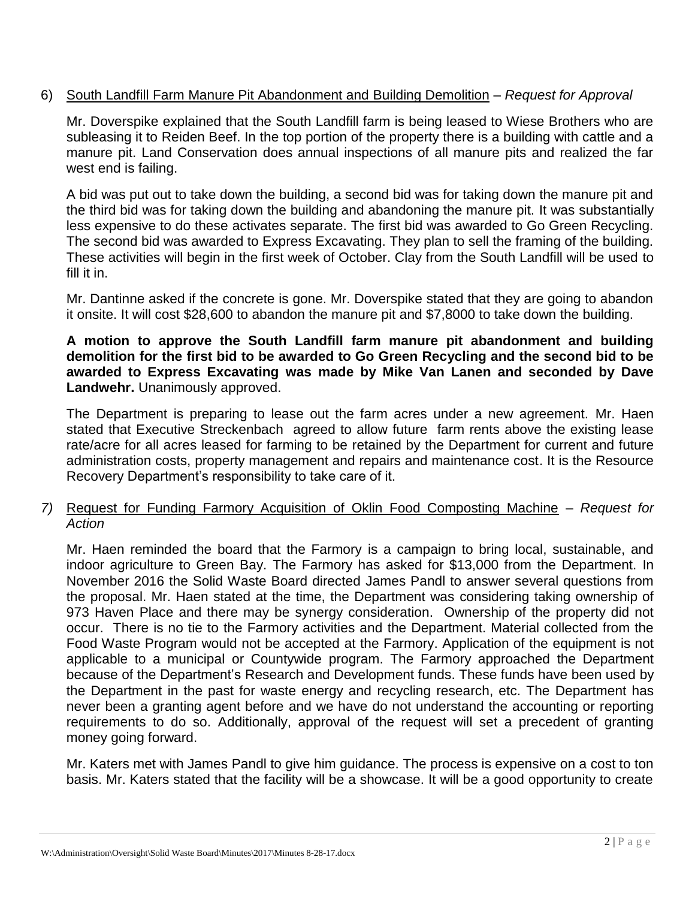## 6) South Landfill Farm Manure Pit Abandonment and Building Demolition – *Request for Approval*

Mr. Doverspike explained that the South Landfill farm is being leased to Wiese Brothers who are subleasing it to Reiden Beef. In the top portion of the property there is a building with cattle and a manure pit. Land Conservation does annual inspections of all manure pits and realized the far west end is failing.

A bid was put out to take down the building, a second bid was for taking down the manure pit and the third bid was for taking down the building and abandoning the manure pit. It was substantially less expensive to do these activates separate. The first bid was awarded to Go Green Recycling. The second bid was awarded to Express Excavating. They plan to sell the framing of the building. These activities will begin in the first week of October. Clay from the South Landfill will be used to fill it in.

Mr. Dantinne asked if the concrete is gone. Mr. Doverspike stated that they are going to abandon it onsite. It will cost \$28,600 to abandon the manure pit and \$7,8000 to take down the building.

## **A motion to approve the South Landfill farm manure pit abandonment and building demolition for the first bid to be awarded to Go Green Recycling and the second bid to be awarded to Express Excavating was made by Mike Van Lanen and seconded by Dave Landwehr.** Unanimously approved.

The Department is preparing to lease out the farm acres under a new agreement. Mr. Haen stated that Executive Streckenbach agreed to allow future farm rents above the existing lease rate/acre for all acres leased for farming to be retained by the Department for current and future administration costs, property management and repairs and maintenance cost. It is the Resource Recovery Department's responsibility to take care of it.

## *7)* Request for Funding Farmory Acquisition of Oklin Food Composting Machine – *Request for Action*

Mr. Haen reminded the board that the Farmory is a campaign to bring local, sustainable, and indoor agriculture to Green Bay. The Farmory has asked for \$13,000 from the Department. In November 2016 the Solid Waste Board directed James Pandl to answer several questions from the proposal. Mr. Haen stated at the time, the Department was considering taking ownership of 973 Haven Place and there may be synergy consideration. Ownership of the property did not occur. There is no tie to the Farmory activities and the Department. Material collected from the Food Waste Program would not be accepted at the Farmory. Application of the equipment is not applicable to a municipal or Countywide program. The Farmory approached the Department because of the Department's Research and Development funds. These funds have been used by the Department in the past for waste energy and recycling research, etc. The Department has never been a granting agent before and we have do not understand the accounting or reporting requirements to do so. Additionally, approval of the request will set a precedent of granting money going forward.

Mr. Katers met with James Pandl to give him guidance. The process is expensive on a cost to ton basis. Mr. Katers stated that the facility will be a showcase. It will be a good opportunity to create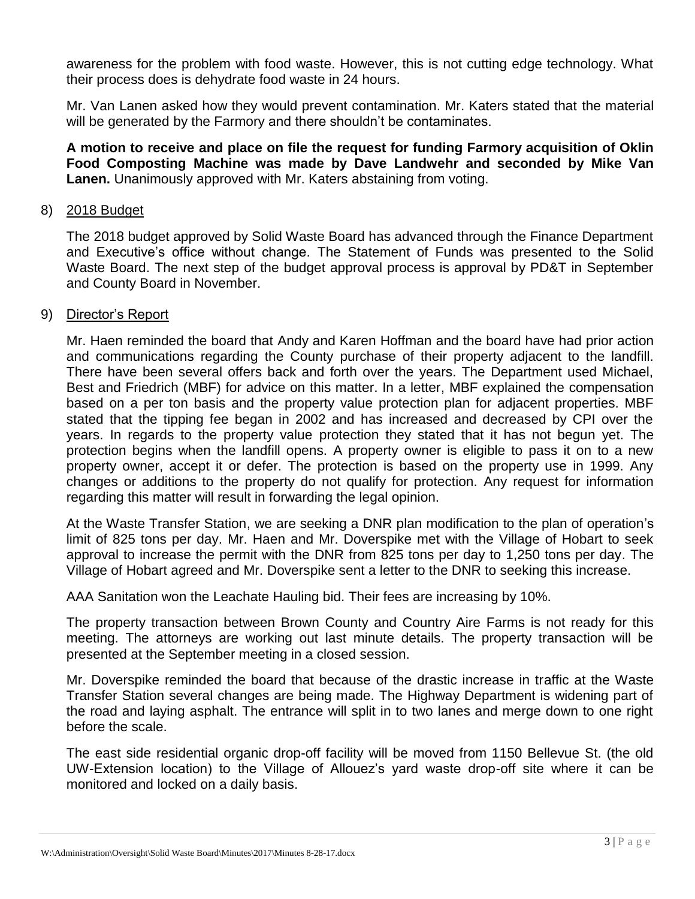awareness for the problem with food waste. However, this is not cutting edge technology. What their process does is dehydrate food waste in 24 hours.

Mr. Van Lanen asked how they would prevent contamination. Mr. Katers stated that the material will be generated by the Farmory and there shouldn't be contaminates.

**A motion to receive and place on file the request for funding Farmory acquisition of Oklin Food Composting Machine was made by Dave Landwehr and seconded by Mike Van Lanen.** Unanimously approved with Mr. Katers abstaining from voting.

## 8) 2018 Budget

The 2018 budget approved by Solid Waste Board has advanced through the Finance Department and Executive's office without change. The Statement of Funds was presented to the Solid Waste Board. The next step of the budget approval process is approval by PD&T in September and County Board in November.

#### 9) Director's Report

Mr. Haen reminded the board that Andy and Karen Hoffman and the board have had prior action and communications regarding the County purchase of their property adjacent to the landfill. There have been several offers back and forth over the years. The Department used Michael, Best and Friedrich (MBF) for advice on this matter. In a letter, MBF explained the compensation based on a per ton basis and the property value protection plan for adjacent properties. MBF stated that the tipping fee began in 2002 and has increased and decreased by CPI over the years. In regards to the property value protection they stated that it has not begun yet. The protection begins when the landfill opens. A property owner is eligible to pass it on to a new property owner, accept it or defer. The protection is based on the property use in 1999. Any changes or additions to the property do not qualify for protection. Any request for information regarding this matter will result in forwarding the legal opinion.

At the Waste Transfer Station, we are seeking a DNR plan modification to the plan of operation's limit of 825 tons per day. Mr. Haen and Mr. Doverspike met with the Village of Hobart to seek approval to increase the permit with the DNR from 825 tons per day to 1,250 tons per day. The Village of Hobart agreed and Mr. Doverspike sent a letter to the DNR to seeking this increase.

AAA Sanitation won the Leachate Hauling bid. Their fees are increasing by 10%.

The property transaction between Brown County and Country Aire Farms is not ready for this meeting. The attorneys are working out last minute details. The property transaction will be presented at the September meeting in a closed session.

Mr. Doverspike reminded the board that because of the drastic increase in traffic at the Waste Transfer Station several changes are being made. The Highway Department is widening part of the road and laying asphalt. The entrance will split in to two lanes and merge down to one right before the scale.

The east side residential organic drop-off facility will be moved from 1150 Bellevue St. (the old UW-Extension location) to the Village of Allouez's yard waste drop-off site where it can be monitored and locked on a daily basis.